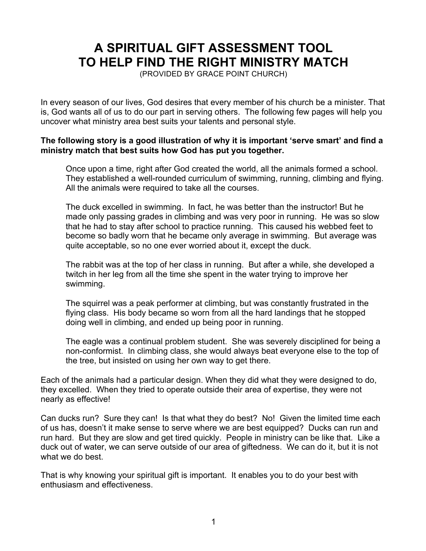## **A SPIRITUAL GIFT ASSESSMENT TOOL TO HELP FIND THE RIGHT MINISTRY MATCH**

(PROVIDED BY GRACE POINT CHURCH)

In every season of our lives, God desires that every member of his church be a minister. That is, God wants all of us to do our part in serving others. The following few pages will help you uncover what ministry area best suits your talents and personal style.

## **The following story is a good illustration of why it is important 'serve smart' and find a ministry match that best suits how God has put you together.**

Once upon a time, right after God created the world, all the animals formed a school. They established a well-rounded curriculum of swimming, running, climbing and flying. All the animals were required to take all the courses.

The duck excelled in swimming. In fact, he was better than the instructor! But he made only passing grades in climbing and was very poor in running. He was so slow that he had to stay after school to practice running. This caused his webbed feet to become so badly worn that he became only average in swimming. But average was quite acceptable, so no one ever worried about it, except the duck.

The rabbit was at the top of her class in running. But after a while, she developed a twitch in her leg from all the time she spent in the water trying to improve her swimming.

The squirrel was a peak performer at climbing, but was constantly frustrated in the flying class. His body became so worn from all the hard landings that he stopped doing well in climbing, and ended up being poor in running.

The eagle was a continual problem student. She was severely disciplined for being a non-conformist. In climbing class, she would always beat everyone else to the top of the tree, but insisted on using her own way to get there.

Each of the animals had a particular design. When they did what they were designed to do, they excelled. When they tried to operate outside their area of expertise, they were not nearly as effective!

Can ducks run? Sure they can! Is that what they do best? No! Given the limited time each of us has, doesn't it make sense to serve where we are best equipped? Ducks can run and run hard. But they are slow and get tired quickly. People in ministry can be like that. Like a duck out of water, we can serve outside of our area of giftedness. We can do it, but it is not what we do best.

That is why knowing your spiritual gift is important. It enables you to do your best with enthusiasm and effectiveness.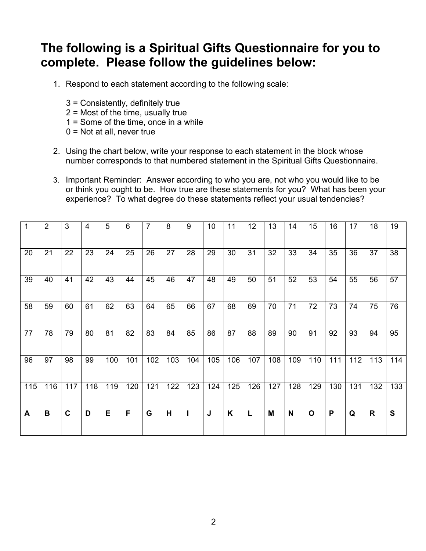## **The following is a Spiritual Gifts Questionnaire for you to complete. Please follow the guidelines below:**

- 1. Respond to each statement according to the following scale:
	- 3 = Consistently, definitely true
	- 2 = Most of the time, usually true
	- 1 = Some of the time, once in a while
	- $0 =$  Not at all, never true
- 2. Using the chart below, write your response to each statement in the block whose number corresponds to that numbered statement in the Spiritual Gifts Questionnaire.
- 3. Important Reminder: Answer according to who you are, not who you would like to be or think you ought to be. How true are these statements for you? What has been your experience? To what degree do these statements reflect your usual tendencies?

|     | $\overline{2}$ | 3   | 4   | 5   | 6   | $\overline{7}$ | 8   | 9            | 10  | 11  | 12  | 13  | 14  | 15          | 16  | 17  | 18  | 19  |
|-----|----------------|-----|-----|-----|-----|----------------|-----|--------------|-----|-----|-----|-----|-----|-------------|-----|-----|-----|-----|
| 20  | 21             | 22  | 23  | 24  | 25  | 26             | 27  | 28           | 29  | 30  | 31  | 32  | 33  | 34          | 35  | 36  | 37  | 38  |
| 39  | 40             | 41  | 42  | 43  | 44  | 45             | 46  | 47           | 48  | 49  | 50  | 51  | 52  | 53          | 54  | 55  | 56  | 57  |
| 58  | 59             | 60  | 61  | 62  | 63  | 64             | 65  | 66           | 67  | 68  | 69  | 70  | 71  | 72          | 73  | 74  | 75  | 76  |
| 77  | 78             | 79  | 80  | 81  | 82  | 83             | 84  | 85           | 86  | 87  | 88  | 89  | 90  | 91          | 92  | 93  | 94  | 95  |
| 96  | 97             | 98  | 99  | 100 | 101 | 102            | 103 | 104          | 105 | 106 | 107 | 108 | 109 | 110         | 111 | 112 | 113 | 114 |
| 115 | 116            | 117 | 118 | 119 | 120 | 121            | 122 | 123          | 124 | 125 | 126 | 127 | 128 | 129         | 130 | 131 | 132 | 133 |
| A   | B              | C   | D   | E   | F   | G              | н   | $\mathbf{I}$ | J   | K   | L   | Μ   | N   | $\mathbf O$ | P   | Q   | R   | S   |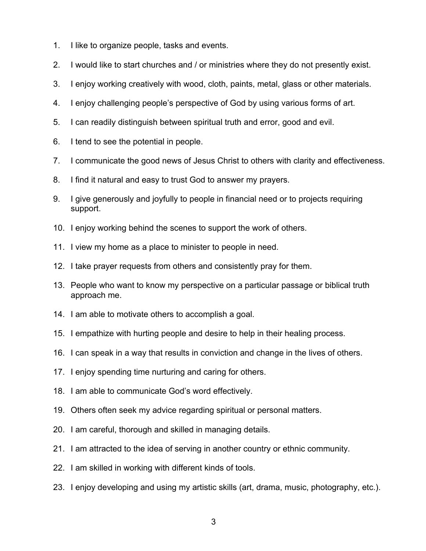- 1. I like to organize people, tasks and events.
- 2. I would like to start churches and / or ministries where they do not presently exist.
- 3. I enjoy working creatively with wood, cloth, paints, metal, glass or other materials.
- 4. I enjoy challenging people's perspective of God by using various forms of art.
- 5. I can readily distinguish between spiritual truth and error, good and evil.
- 6. I tend to see the potential in people.
- 7. I communicate the good news of Jesus Christ to others with clarity and effectiveness.
- 8. I find it natural and easy to trust God to answer my prayers.
- 9. I give generously and joyfully to people in financial need or to projects requiring support.
- 10. I enjoy working behind the scenes to support the work of others.
- 11. I view my home as a place to minister to people in need.
- 12. I take prayer requests from others and consistently pray for them.
- 13. People who want to know my perspective on a particular passage or biblical truth approach me.
- 14. I am able to motivate others to accomplish a goal.
- 15. I empathize with hurting people and desire to help in their healing process.
- 16. I can speak in a way that results in conviction and change in the lives of others.
- 17. I enjoy spending time nurturing and caring for others.
- 18. I am able to communicate God's word effectively.
- 19. Others often seek my advice regarding spiritual or personal matters.
- 20. I am careful, thorough and skilled in managing details.
- 21. I am attracted to the idea of serving in another country or ethnic community.
- 22. I am skilled in working with different kinds of tools.
- 23. I enjoy developing and using my artistic skills (art, drama, music, photography, etc.).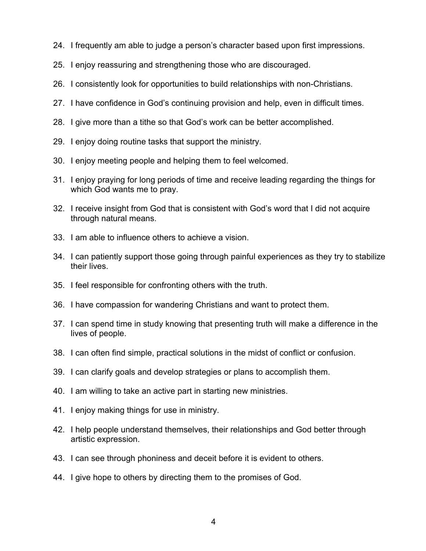- 24. I frequently am able to judge a person's character based upon first impressions.
- 25. I enjoy reassuring and strengthening those who are discouraged.
- 26. I consistently look for opportunities to build relationships with non-Christians.
- 27. I have confidence in God's continuing provision and help, even in difficult times.
- 28. I give more than a tithe so that God's work can be better accomplished.
- 29. I enjoy doing routine tasks that support the ministry.
- 30. I enjoy meeting people and helping them to feel welcomed.
- 31. I enjoy praying for long periods of time and receive leading regarding the things for which God wants me to pray.
- 32. I receive insight from God that is consistent with God's word that I did not acquire through natural means.
- 33. I am able to influence others to achieve a vision.
- 34. I can patiently support those going through painful experiences as they try to stabilize their lives.
- 35. I feel responsible for confronting others with the truth.
- 36. I have compassion for wandering Christians and want to protect them.
- 37. I can spend time in study knowing that presenting truth will make a difference in the lives of people.
- 38. I can often find simple, practical solutions in the midst of conflict or confusion.
- 39. I can clarify goals and develop strategies or plans to accomplish them.
- 40. I am willing to take an active part in starting new ministries.
- 41. I enjoy making things for use in ministry.
- 42. I help people understand themselves, their relationships and God better through artistic expression.
- 43. I can see through phoniness and deceit before it is evident to others.
- 44. I give hope to others by directing them to the promises of God.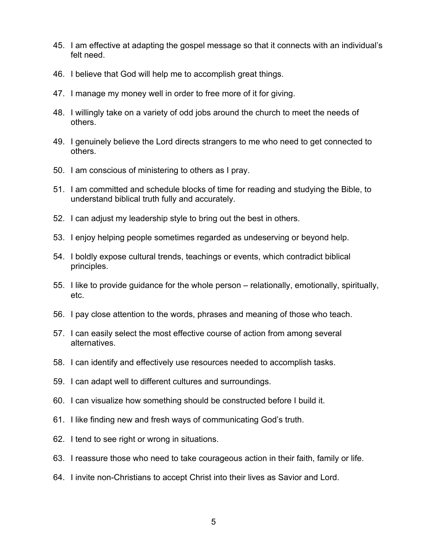- 45. I am effective at adapting the gospel message so that it connects with an individual's felt need.
- 46. I believe that God will help me to accomplish great things.
- 47. I manage my money well in order to free more of it for giving.
- 48. I willingly take on a variety of odd jobs around the church to meet the needs of others.
- 49. I genuinely believe the Lord directs strangers to me who need to get connected to others.
- 50. I am conscious of ministering to others as I pray.
- 51. I am committed and schedule blocks of time for reading and studying the Bible, to understand biblical truth fully and accurately.
- 52. I can adjust my leadership style to bring out the best in others.
- 53. I enjoy helping people sometimes regarded as undeserving or beyond help.
- 54. I boldly expose cultural trends, teachings or events, which contradict biblical principles.
- 55. I like to provide guidance for the whole person relationally, emotionally, spiritually, etc.
- 56. I pay close attention to the words, phrases and meaning of those who teach.
- 57. I can easily select the most effective course of action from among several alternatives.
- 58. I can identify and effectively use resources needed to accomplish tasks.
- 59. I can adapt well to different cultures and surroundings.
- 60. I can visualize how something should be constructed before I build it.
- 61. I like finding new and fresh ways of communicating God's truth.
- 62. I tend to see right or wrong in situations.
- 63. I reassure those who need to take courageous action in their faith, family or life.
- 64. I invite non-Christians to accept Christ into their lives as Savior and Lord.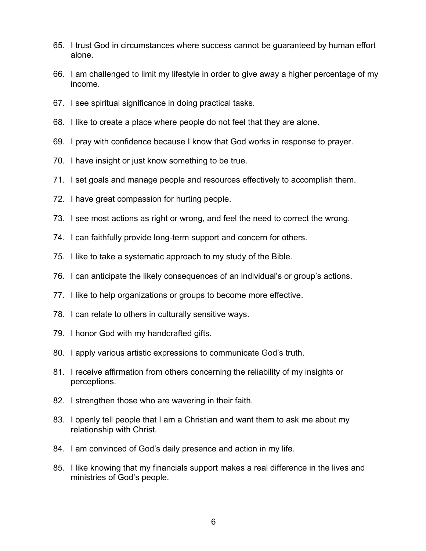- 65. I trust God in circumstances where success cannot be guaranteed by human effort alone.
- 66. I am challenged to limit my lifestyle in order to give away a higher percentage of my income.
- 67. I see spiritual significance in doing practical tasks.
- 68. I like to create a place where people do not feel that they are alone.
- 69. I pray with confidence because I know that God works in response to prayer.
- 70. I have insight or just know something to be true.
- 71. I set goals and manage people and resources effectively to accomplish them.
- 72. I have great compassion for hurting people.
- 73. I see most actions as right or wrong, and feel the need to correct the wrong.
- 74. I can faithfully provide long-term support and concern for others.
- 75. I like to take a systematic approach to my study of the Bible.
- 76. I can anticipate the likely consequences of an individual's or group's actions.
- 77. I like to help organizations or groups to become more effective.
- 78. I can relate to others in culturally sensitive ways.
- 79. I honor God with my handcrafted gifts.
- 80. I apply various artistic expressions to communicate God's truth.
- 81. I receive affirmation from others concerning the reliability of my insights or perceptions.
- 82. I strengthen those who are wavering in their faith.
- 83. I openly tell people that I am a Christian and want them to ask me about my relationship with Christ.
- 84. I am convinced of God's daily presence and action in my life.
- 85. I like knowing that my financials support makes a real difference in the lives and ministries of God's people.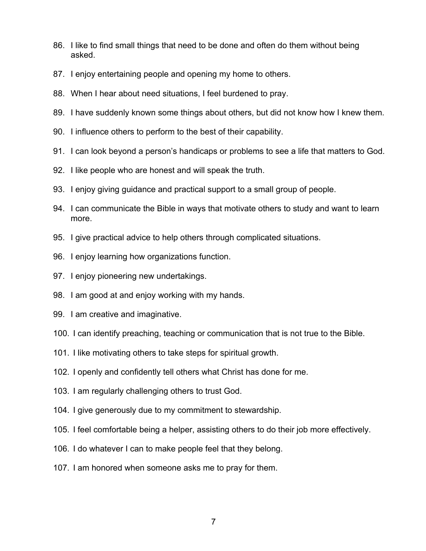- 86. I like to find small things that need to be done and often do them without being asked.
- 87. I enjoy entertaining people and opening my home to others.
- 88. When I hear about need situations, I feel burdened to pray.
- 89. I have suddenly known some things about others, but did not know how I knew them.
- 90. I influence others to perform to the best of their capability.
- 91. I can look beyond a person's handicaps or problems to see a life that matters to God.
- 92. I like people who are honest and will speak the truth.
- 93. I enjoy giving guidance and practical support to a small group of people.
- 94. I can communicate the Bible in ways that motivate others to study and want to learn more.
- 95. I give practical advice to help others through complicated situations.
- 96. I enjoy learning how organizations function.
- 97. I enjoy pioneering new undertakings.
- 98. I am good at and enjoy working with my hands.
- 99. I am creative and imaginative.
- 100. I can identify preaching, teaching or communication that is not true to the Bible.
- 101. I like motivating others to take steps for spiritual growth.
- 102. I openly and confidently tell others what Christ has done for me.
- 103. I am regularly challenging others to trust God.
- 104. I give generously due to my commitment to stewardship.
- 105. I feel comfortable being a helper, assisting others to do their job more effectively.
- 106. I do whatever I can to make people feel that they belong.
- 107. I am honored when someone asks me to pray for them.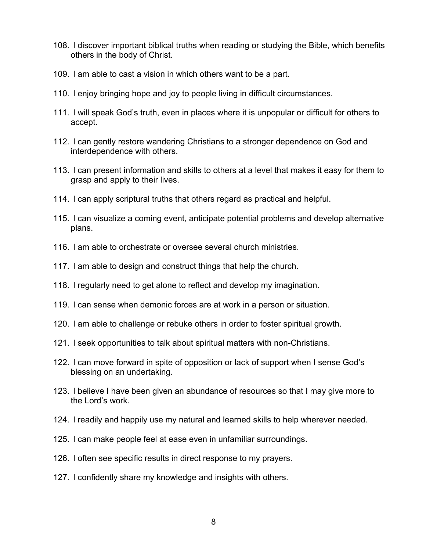- 108. I discover important biblical truths when reading or studying the Bible, which benefits others in the body of Christ.
- 109. I am able to cast a vision in which others want to be a part.
- 110. I enjoy bringing hope and joy to people living in difficult circumstances.
- 111. I will speak God's truth, even in places where it is unpopular or difficult for others to accept.
- 112. I can gently restore wandering Christians to a stronger dependence on God and interdependence with others.
- 113. I can present information and skills to others at a level that makes it easy for them to grasp and apply to their lives.
- 114. I can apply scriptural truths that others regard as practical and helpful.
- 115. I can visualize a coming event, anticipate potential problems and develop alternative plans.
- 116. I am able to orchestrate or oversee several church ministries.
- 117. I am able to design and construct things that help the church.
- 118. I regularly need to get alone to reflect and develop my imagination.
- 119. I can sense when demonic forces are at work in a person or situation.
- 120. I am able to challenge or rebuke others in order to foster spiritual growth.
- 121. I seek opportunities to talk about spiritual matters with non-Christians.
- 122. I can move forward in spite of opposition or lack of support when I sense God's blessing on an undertaking.
- 123. I believe I have been given an abundance of resources so that I may give more to the Lord's work.
- 124. I readily and happily use my natural and learned skills to help wherever needed.
- 125. I can make people feel at ease even in unfamiliar surroundings.
- 126. I often see specific results in direct response to my prayers.
- 127. I confidently share my knowledge and insights with others.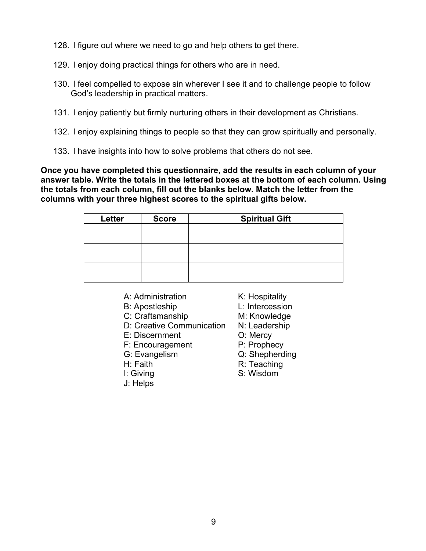- 128. I figure out where we need to go and help others to get there.
- 129. I enjoy doing practical things for others who are in need.
- 130. I feel compelled to expose sin wherever I see it and to challenge people to follow God's leadership in practical matters.
- 131. I enjoy patiently but firmly nurturing others in their development as Christians.
- 132. I enjoy explaining things to people so that they can grow spiritually and personally.
- 133. I have insights into how to solve problems that others do not see.

**Once you have completed this questionnaire, add the results in each column of your answer table. Write the totals in the lettered boxes at the bottom of each column. Using the totals from each column, fill out the blanks below. Match the letter from the columns with your three highest scores to the spiritual gifts below.**

| Letter | <b>Score</b> | <b>Spiritual Gift</b> |
|--------|--------------|-----------------------|
|        |              |                       |
|        |              |                       |
|        |              |                       |
|        |              |                       |
|        |              |                       |
|        |              |                       |

- A: Administration K: Hospitality
- 
- C: Craftsmanship M: Knowledge
- D: Creative Communication N: Leadership
- E: Discernment O: Mercy
- F: Encouragement P: Prophecy
- 
- 
- 
- J: Helps
- 
- B: Apostleship L: Intercession
	-
	-
	-
	-
- G: Evangelism Q: Shepherding
- H: Faith R: Teaching
- I: Giving S: Wisdom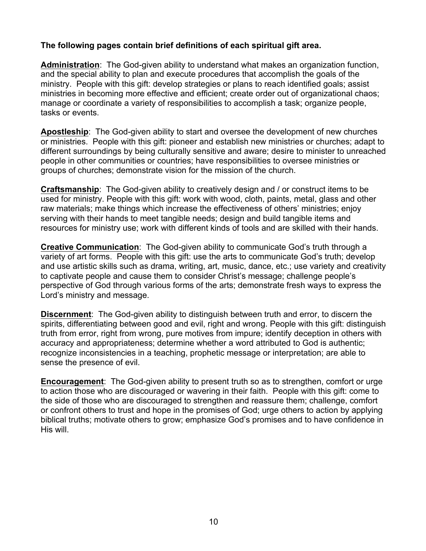## **The following pages contain brief definitions of each spiritual gift area.**

**Administration**: The God-given ability to understand what makes an organization function, and the special ability to plan and execute procedures that accomplish the goals of the ministry. People with this gift: develop strategies or plans to reach identified goals; assist ministries in becoming more effective and efficient; create order out of organizational chaos; manage or coordinate a variety of responsibilities to accomplish a task; organize people, tasks or events.

**Apostleship**: The God-given ability to start and oversee the development of new churches or ministries. People with this gift: pioneer and establish new ministries or churches; adapt to different surroundings by being culturally sensitive and aware; desire to minister to unreached people in other communities or countries; have responsibilities to oversee ministries or groups of churches; demonstrate vision for the mission of the church.

**Craftsmanship**: The God-given ability to creatively design and / or construct items to be used for ministry. People with this gift: work with wood, cloth, paints, metal, glass and other raw materials; make things which increase the effectiveness of others' ministries; enjoy serving with their hands to meet tangible needs; design and build tangible items and resources for ministry use; work with different kinds of tools and are skilled with their hands.

**Creative Communication**: The God-given ability to communicate God's truth through a variety of art forms. People with this gift: use the arts to communicate God's truth; develop and use artistic skills such as drama, writing, art, music, dance, etc.; use variety and creativity to captivate people and cause them to consider Christ's message; challenge people's perspective of God through various forms of the arts; demonstrate fresh ways to express the Lord's ministry and message.

**Discernment**: The God-given ability to distinguish between truth and error, to discern the spirits, differentiating between good and evil, right and wrong. People with this gift: distinguish truth from error, right from wrong, pure motives from impure; identify deception in others with accuracy and appropriateness; determine whether a word attributed to God is authentic; recognize inconsistencies in a teaching, prophetic message or interpretation; are able to sense the presence of evil.

**Encouragement**: The God-given ability to present truth so as to strengthen, comfort or urge to action those who are discouraged or wavering in their faith. People with this gift: come to the side of those who are discouraged to strengthen and reassure them; challenge, comfort or confront others to trust and hope in the promises of God; urge others to action by applying biblical truths; motivate others to grow; emphasize God's promises and to have confidence in His will.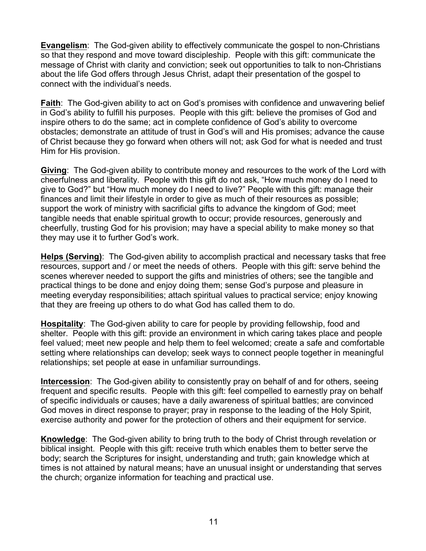**Evangelism**: The God-given ability to effectively communicate the gospel to non-Christians so that they respond and move toward discipleship. People with this gift: communicate the message of Christ with clarity and conviction; seek out opportunities to talk to non-Christians about the life God offers through Jesus Christ, adapt their presentation of the gospel to connect with the individual's needs.

**Faith**: The God-given ability to act on God's promises with confidence and unwavering belief in God's ability to fulfill his purposes. People with this gift: believe the promises of God and inspire others to do the same; act in complete confidence of God's ability to overcome obstacles; demonstrate an attitude of trust in God's will and His promises; advance the cause of Christ because they go forward when others will not; ask God for what is needed and trust Him for His provision.

**Giving**: The God-given ability to contribute money and resources to the work of the Lord with cheerfulness and liberality. People with this gift do not ask, "How much money do I need to give to God?" but "How much money do I need to live?" People with this gift: manage their finances and limit their lifestyle in order to give as much of their resources as possible; support the work of ministry with sacrificial gifts to advance the kingdom of God; meet tangible needs that enable spiritual growth to occur; provide resources, generously and cheerfully, trusting God for his provision; may have a special ability to make money so that they may use it to further God's work.

**Helps (Serving)**: The God-given ability to accomplish practical and necessary tasks that free resources, support and / or meet the needs of others. People with this gift: serve behind the scenes wherever needed to support the gifts and ministries of others; see the tangible and practical things to be done and enjoy doing them; sense God's purpose and pleasure in meeting everyday responsibilities; attach spiritual values to practical service; enjoy knowing that they are freeing up others to do what God has called them to do.

**Hospitality**: The God-given ability to care for people by providing fellowship, food and shelter. People with this gift: provide an environment in which caring takes place and people feel valued; meet new people and help them to feel welcomed; create a safe and comfortable setting where relationships can develop; seek ways to connect people together in meaningful relationships; set people at ease in unfamiliar surroundings.

**Intercession**: The God-given ability to consistently pray on behalf of and for others, seeing frequent and specific results. People with this gift: feel compelled to earnestly pray on behalf of specific individuals or causes; have a daily awareness of spiritual battles; are convinced God moves in direct response to prayer; pray in response to the leading of the Holy Spirit, exercise authority and power for the protection of others and their equipment for service.

**Knowledge**: The God-given ability to bring truth to the body of Christ through revelation or biblical insight. People with this gift: receive truth which enables them to better serve the body; search the Scriptures for insight, understanding and truth; gain knowledge which at times is not attained by natural means; have an unusual insight or understanding that serves the church; organize information for teaching and practical use.